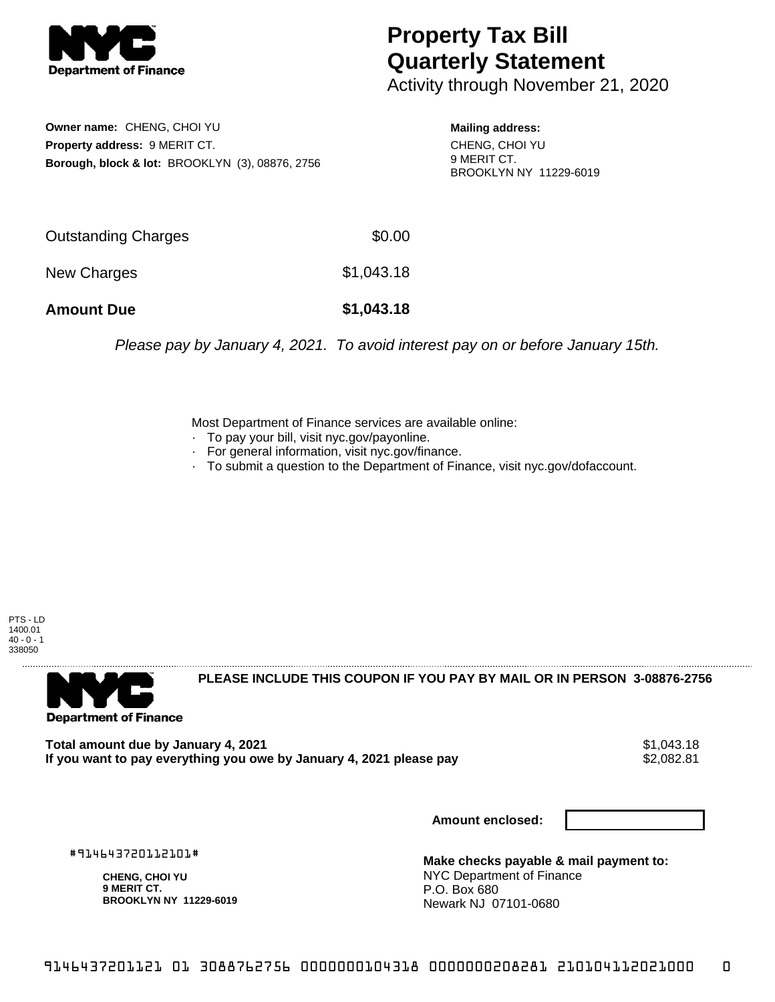

## **Property Tax Bill Quarterly Statement**

Activity through November 21, 2020

**Owner name:** CHENG, CHOI YU **Property address:** 9 MERIT CT. **Borough, block & lot:** BROOKLYN (3), 08876, 2756

**Mailing address:** CHENG, CHOI YU 9 MERIT CT. BROOKLYN NY 11229-6019

| <b>Amount Due</b>   | \$1,043.18 |
|---------------------|------------|
| New Charges         | \$1,043.18 |
| Outstanding Charges | \$0.00     |

Please pay by January 4, 2021. To avoid interest pay on or before January 15th.

Most Department of Finance services are available online:

- · To pay your bill, visit nyc.gov/payonline.
- For general information, visit nyc.gov/finance.
- · To submit a question to the Department of Finance, visit nyc.gov/dofaccount.

PTS - LD 1400.01  $40 - 0 - 1$ 338050



**PLEASE INCLUDE THIS COUPON IF YOU PAY BY MAIL OR IN PERSON 3-08876-2756** 

**Total amount due by January 4, 2021**<br>If you want to pay everything you owe by January 4, 2021 please pay **show that the summer way of the s**2,082.81 If you want to pay everything you owe by January 4, 2021 please pay

**Amount enclosed:**

#914643720112101#

**CHENG, CHOI YU 9 MERIT CT. BROOKLYN NY 11229-6019**

**Make checks payable & mail payment to:** NYC Department of Finance P.O. Box 680 Newark NJ 07101-0680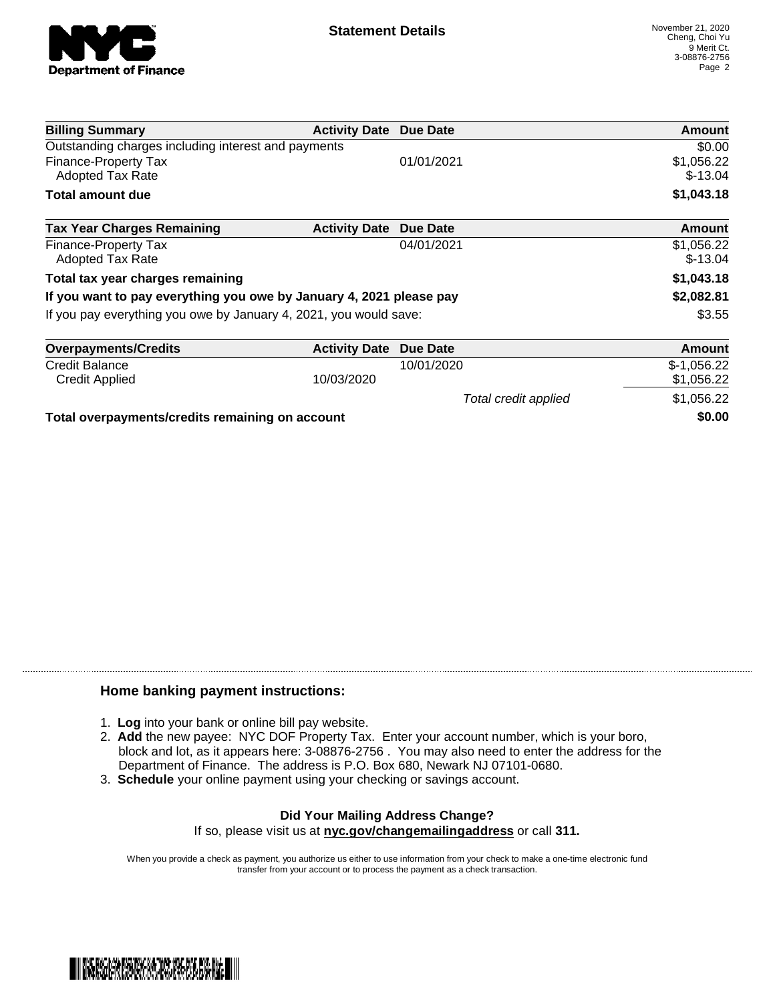

Total credit applied  $$1,056.22$ 

| <b>Billing Summary</b>                                              | <b>Activity Date</b> | Due Date   | Amount                  |
|---------------------------------------------------------------------|----------------------|------------|-------------------------|
| Outstanding charges including interest and payments                 |                      |            | \$0.00                  |
| Finance-Property Tax<br><b>Adopted Tax Rate</b>                     |                      | 01/01/2021 | \$1,056.22<br>$$-13.04$ |
| <b>Total amount due</b>                                             |                      |            | \$1,043.18              |
| <b>Tax Year Charges Remaining</b>                                   | <b>Activity Date</b> | Due Date   | Amount                  |
| Finance-Property Tax<br><b>Adopted Tax Rate</b>                     |                      | 04/01/2021 | \$1,056.22<br>$$-13.04$ |
| Total tax year charges remaining                                    |                      |            | \$1,043.18              |
| If you want to pay everything you owe by January 4, 2021 please pay |                      |            | \$2,082.81              |
| If you pay everything you owe by January 4, 2021, you would save:   |                      |            | \$3.55                  |
| <b>Overpayments/Credits</b>                                         | <b>Activity Date</b> | Due Date   | Amount                  |
| <b>Credit Balance</b>                                               |                      | 10/01/2020 | $$-1,056.22$            |
| <b>Credit Applied</b>                                               | 10/03/2020           |            | \$1,056.22              |

**Total overpayments/credits remaining on account \$0.00**

## **Home banking payment instructions:**

- 1. **Log** into your bank or online bill pay website.
- 2. **Add** the new payee: NYC DOF Property Tax. Enter your account number, which is your boro, block and lot, as it appears here: 3-08876-2756 . You may also need to enter the address for the Department of Finance. The address is P.O. Box 680, Newark NJ 07101-0680.
- 3. **Schedule** your online payment using your checking or savings account.

## **Did Your Mailing Address Change?** If so, please visit us at **nyc.gov/changemailingaddress** or call **311.**

When you provide a check as payment, you authorize us either to use information from your check to make a one-time electronic fund transfer from your account or to process the payment as a check transaction.